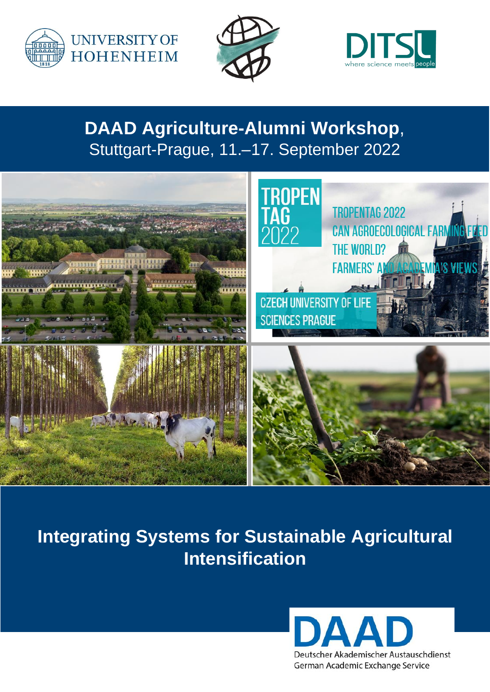





## **DAAD Agriculture-Alumni Workshop**, Stuttgart-Prague, 11.–17. September 2022



# **Integrating Systems for Sustainable Agricultural Intensification**

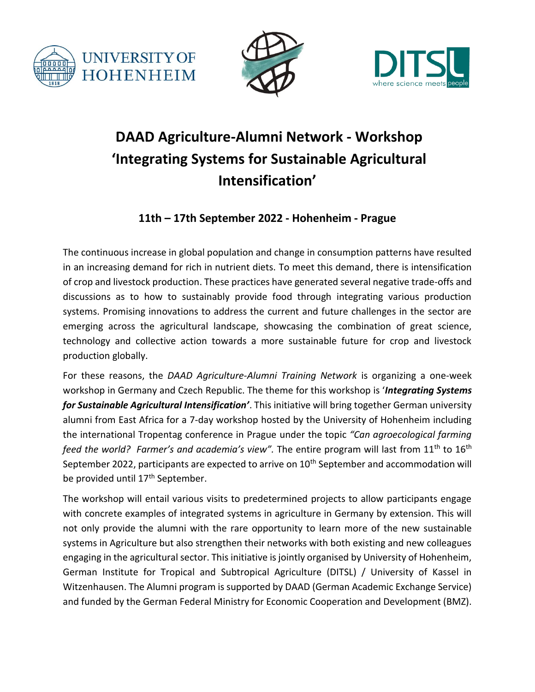





### **DAAD Agriculture-Alumni Network - Workshop 'Integrating Systems for Sustainable Agricultural Intensification'**

### **11th – 17th September 2022 - Hohenheim - Prague**

The continuous increase in global population and change in consumption patterns have resulted in an increasing demand for rich in nutrient diets. To meet this demand, there is intensification of crop and livestock production. These practices have generated several negative trade-offs and discussions as to how to sustainably provide food through integrating various production systems. Promising innovations to address the current and future challenges in the sector are emerging across the agricultural landscape, showcasing the combination of great science, technology and collective action towards a more sustainable future for crop and livestock production globally.

For these reasons, the *DAAD Agriculture-Alumni Training Network* is organizing a one-week workshop in Germany and Czech Republic. The theme for this workshop is '*Integrating Systems for Sustainable Agricultural Intensification'*. This initiative will bring together German university alumni from East Africa for a 7-day workshop hosted by the University of Hohenheim including the international Tropentag conference in Prague under the topic *"Can agroecological farming feed the world? Farmer's and academia's view".* The entire program will last from 11th to 16th September 2022, participants are expected to arrive on 10<sup>th</sup> September and accommodation will be provided until 17<sup>th</sup> September.

The workshop will entail various visits to predetermined projects to allow participants engage with concrete examples of integrated systems in agriculture in Germany by extension. This will not only provide the alumni with the rare opportunity to learn more of the new sustainable systems in Agriculture but also strengthen their networks with both existing and new colleagues engaging in the agricultural sector. This initiative is jointly organised by University of Hohenheim, German Institute for Tropical and Subtropical Agriculture (DITSL) / University of Kassel in Witzenhausen. The Alumni program is supported by DAAD (German Academic Exchange Service) and funded by the German Federal Ministry for Economic Cooperation and Development (BMZ).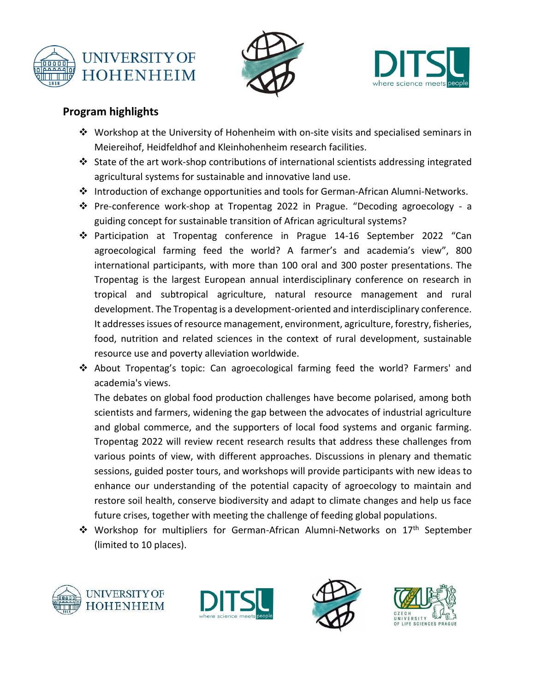





#### **Program highlights**

- $\dots$  Workshop at the University of Hohenheim with on-site visits and specialised seminars in Meiereihof, Heidfeldhof and Kleinhohenheim research facilities.
- ❖ State of the art work-shop contributions of international scientists addressing integrated agricultural systems for sustainable and innovative land use.
- ❖ Introduction of exchange opportunities and tools for German-African Alumni-Networks.
- ❖ Pre-conference work-shop at Tropentag 2022 in Prague. "Decoding agroecology a guiding concept for sustainable transition of African agricultural systems?
- ❖ Participation at Tropentag conference in Prague 14-16 September 2022 "Can agroecological farming feed the world? A farmer's and academia's view", 800 international participants, with more than 100 oral and 300 poster presentations. The Tropentag is the largest European annual interdisciplinary conference on research in tropical and subtropical agriculture, natural resource management and rural development. The Tropentag is a development-oriented and interdisciplinary conference. It addresses issues of resource management, environment, agriculture, forestry, fisheries, food, nutrition and related sciences in the context of rural development, sustainable resource use and poverty alleviation worldwide.
- ❖ About Tropentag's topic: Can agroecological farming feed the world? Farmers' and academia's views.

The debates on global food production challenges have become polarised, among both scientists and farmers, widening the gap between the advocates of industrial agriculture and global commerce, and the supporters of local food systems and organic farming. Tropentag 2022 will review recent research results that address these challenges from various points of view, with different approaches. Discussions in plenary and thematic sessions, guided poster tours, and workshops will provide participants with new ideas to enhance our understanding of the potential capacity of agroecology to maintain and restore soil health, conserve biodiversity and adapt to climate changes and help us face future crises, together with meeting the challenge of feeding global populations.

❖ Workshop for multipliers for German-African Alumni-Networks on 17th September (limited to 10 places).